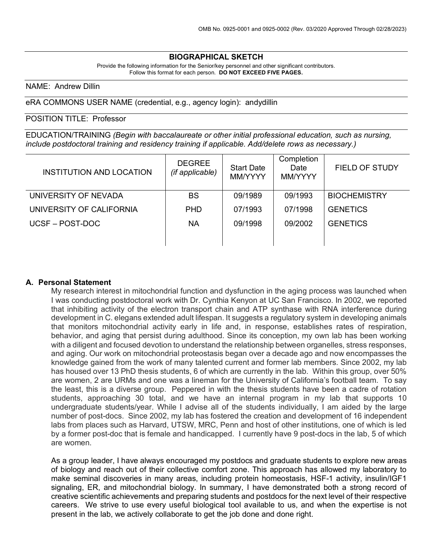## **BIOGRAPHICAL SKETCH**

Provide the following information for the Senior/key personnel and other significant contributors. Follow this format for each person. **DO NOT EXCEED FIVE PAGES.**

## NAME: Andrew Dillin

eRA COMMONS USER NAME (credential, e.g., agency login): andydillin

## POSITION TITLE: Professor

EDUCATION/TRAINING *(Begin with baccalaureate or other initial professional education, such as nursing, include postdoctoral training and residency training if applicable. Add/delete rows as necessary.)*

| INSTITUTION AND LOCATION | <b>DEGREE</b><br>(if applicable) | <b>Start Date</b><br>MM/YYYY | Completion<br>Date<br>MM/YYYY | <b>FIELD OF STUDY</b> |
|--------------------------|----------------------------------|------------------------------|-------------------------------|-----------------------|
| UNIVERSITY OF NEVADA     | <b>BS</b>                        | 09/1989                      | 09/1993                       | <b>BIOCHEMISTRY</b>   |
| UNIVERSITY OF CALIFORNIA | <b>PHD</b>                       | 07/1993                      | 07/1998                       | <b>GENETICS</b>       |
| UCSF-POST-DOC            | ΝA                               | 09/1998                      | 09/2002                       | <b>GENETICS</b>       |
|                          |                                  |                              |                               |                       |

#### **A. Personal Statement**

My research interest in mitochondrial function and dysfunction in the aging process was launched when I was conducting postdoctoral work with Dr. Cynthia Kenyon at UC San Francisco. In 2002, we reported that inhibiting activity of the electron transport chain and ATP synthase with RNA interference during development in C. elegans extended adult lifespan. It suggests a regulatory system in developing animals that monitors mitochondrial activity early in life and, in response, establishes rates of respiration, behavior, and aging that persist during adulthood. Since its conception, my own lab has been working with a diligent and focused devotion to understand the relationship between organelles, stress responses, and aging. Our work on mitochondrial proteostasis began over a decade ago and now encompasses the knowledge gained from the work of many talented current and former lab members. Since 2002, my lab has housed over 13 PhD thesis students, 6 of which are currently in the lab. Within this group, over 50% are women, 2 are URMs and one was a lineman for the University of California's football team. To say the least, this is a diverse group. Peppered in with the thesis students have been a cadre of rotation students, approaching 30 total, and we have an internal program in my lab that supports 10 undergraduate students/year. While I advise all of the students individually, I am aided by the large number of post-docs. Since 2002, my lab has fostered the creation and development of 16 independent labs from places such as Harvard, UTSW, MRC, Penn and host of other institutions, one of which is led by a former post-doc that is female and handicapped. I currently have 9 post-docs in the lab, 5 of which are women.

As a group leader, I have always encouraged my postdocs and graduate students to explore new areas of biology and reach out of their collective comfort zone. This approach has allowed my laboratory to make seminal discoveries in many areas, including protein homeostasis, HSF-1 activity, insulin/IGF1 signaling, ER, and mitochondrial biology. In summary, I have demonstrated both a strong record of creative scientific achievements and preparing students and postdocs for the next level of their respective careers. We strive to use every useful biological tool available to us, and when the expertise is not present in the lab, we actively collaborate to get the job done and done right.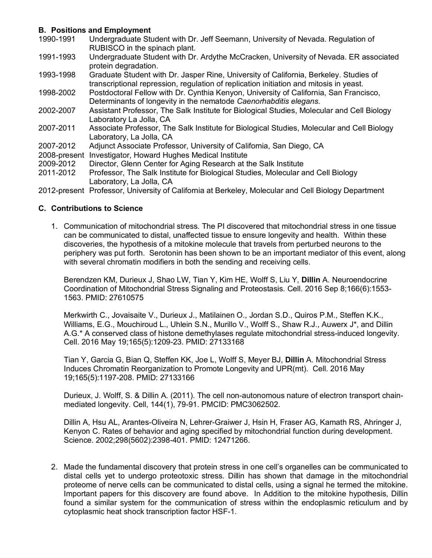# **B. Positions and Employment**

- Undergraduate Student with Dr. Jeff Seemann, University of Nevada. Regulation of RUBISCO in the spinach plant.
- 1991-1993 Undergraduate Student with Dr. Ardythe McCracken, University of Nevada. ER associated protein degradation.
- 1993-1998 Graduate Student with Dr. Jasper Rine, University of California, Berkeley. Studies of transcriptional repression, regulation of replication initiation and mitosis in yeast.
- 1998-2002 Postdoctoral Fellow with Dr. Cynthia Kenyon, University of California, San Francisco, Determinants of longevity in the nematode *Caenorhabditis elegans.*
- 2002-2007 Assistant Professor, The Salk Institute for Biological Studies, Molecular and Cell Biology Laboratory La Jolla, CA
- 2007-2011 Associate Professor, The Salk Institute for Biological Studies, Molecular and Cell Biology Laboratory, La Jolla, CA
- 2007-2012 Adjunct Associate Professor, University of California, San Diego, CA
- 2008-present Investigator, Howard Hughes Medical Institute
- 2009-2012 Director, Glenn Center for Aging Research at the Salk Institute
- 2011-2012 Professor, The Salk Institute for Biological Studies, Molecular and Cell Biology Laboratory, La Jolla, CA
- 2012-present Professor, University of California at Berkeley, Molecular and Cell Biology Department

# **C. Contributions to Science**

1. Communication of mitochondrial stress. The PI discovered that mitochondrial stress in one tissue can be communicated to distal, unaffected tissue to ensure longevity and health. Within these discoveries, the hypothesis of a mitokine molecule that travels from perturbed neurons to the periphery was put forth. Serotonin has been shown to be an important mediator of this event, along with several chromatin modifiers in both the sending and receiving cells.

Berendzen KM, Durieux J, Shao LW, Tian Y, Kim HE, Wolff S, Liu Y, **Dillin** A. Neuroendocrine Coordination of Mitochondrial Stress Signaling and Proteostasis. Cell. 2016 Sep 8;166(6):1553- 1563. PMID: 27610575

Merkwirth C., Jovaisaite V., Durieux J., Matilainen O., Jordan S.D., Quiros P.M., Steffen K.K., Williams, E.G., Mouchiroud L., Uhlein S.N., Murillo V., Wolff S., Shaw R.J., Auwerx J\*, and Dillin A.G.\* A conserved class of histone demethylases regulate mitochondrial stress-induced longevity. Cell. 2016 May 19;165(5):1209-23. PMID: 27133168

Tian Y, Garcia G, Bian Q, Steffen KK, Joe L, Wolff S, Meyer BJ, **Dillin** A. Mitochondrial Stress Induces Chromatin Reorganization to Promote Longevity and UPR(mt). Cell. 2016 May 19;165(5):1197-208. PMID: 27133166

Durieux, J. Wolff, S. & Dillin A. (2011). The cell non-autonomous nature of electron transport chainmediated longevity. Cell, 144(1), 79-91. PMCID: PMC3062502.

Dillin A, Hsu AL, Arantes-Oliveira N, Lehrer-Graiwer J, Hsin H, Fraser AG, Kamath RS, Ahringer J, Kenyon C. Rates of behavior and aging specified by mitochondrial function during development. Science. 2002;298(5602):2398-401. PMID: 12471266.

2. Made the fundamental discovery that protein stress in one cell's organelles can be communicated to distal cells yet to undergo proteotoxic stress. Dillin has shown that damage in the mitochondrial proteome of nerve cells can be communicated to distal cells, using a signal he termed the mitokine. Important papers for this discovery are found above. In Addition to the mitokine hypothesis, Dillin found a similar system for the communication of stress within the endoplasmic reticulum and by cytoplasmic heat shock transcription factor HSF-1.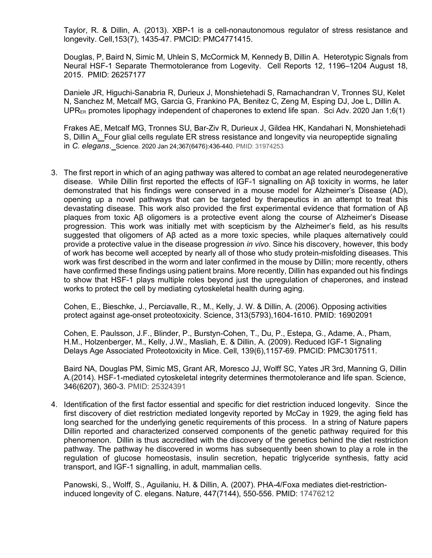Taylor, R. & Dillin, A. (2013). XBP-1 is a cell-nonautonomous regulator of stress resistance and longevity. Cell,153(7), 1435-47. PMCID: PMC4771415.

Douglas, P, Baird N, Simic M, Uhlein S, McCormick M, Kennedy B, Dillin A. Heterotypic Signals from Neural HSF-1 Separate Thermotolerance from Logevity. Cell Reports 12, 1196–1204 August 18, 2015. PMID: 26257177

Daniele JR, Higuchi-Sanabria R, Durieux J, Monshietehadi S, Ramachandran V, Tronnes SU, Kelet N, Sanchez M, Metcalf MG, Garcia G, Frankino PA, Benitez C, Zeng M, Esping DJ, Joe L, Dillin A.  $UPR_{ER}$  promotes lipophagy independent of chaperones to extend life span. Sci Adv. 2020 Jan 1;6(1)

Frakes AE, Metcalf MG, Tronnes SU, Bar-Ziv R, Durieux J, Gildea HK, Kandahari N, Monshietehadi S, Dillin A. Four glial cells regulate ER stress resistance and longevity via neuropeptide signaling in *C. elegans*. Science. 2020 Jan 24;367(6476):436-440. PMID: 31974253

3. The first report in which of an aging pathway was altered to combat an age related neurodegenerative disease. While Dillin first reported the effects of IGF-1 signalling on Aβ toxicity in worms, he later demonstrated that his findings were conserved in a mouse model for Alzheimer's Disease (AD), opening up a novel pathways that can be targeted by therapeutics in an attempt to treat this devastating disease. This work also provided the first experimental evidence that formation of Aβ plaques from toxic Aβ oligomers is a protective event along the course of Alzheimer's Disease progression. This work was initially met with scepticism by the Alzheimer's field, as his results suggested that oligomers of Aβ acted as a more toxic species, while plaques alternatively could provide a protective value in the disease progression *in vivo*. Since his discovery, however, this body of work has become well accepted by nearly all of those who study protein-misfolding diseases. This work was first described in the worm and later confirmed in the mouse by Dillin; more recently, others have confirmed these findings using patient brains. More recently, Dillin has expanded out his findings to show that HSF-1 plays multiple roles beyond just the upregulation of chaperones, and instead works to protect the cell by mediating cytoskeletal health during aging.

Cohen, E., Bieschke, J., Perciavalle, R., M., Kelly, J. W. & Dillin, A. (2006). Opposing activities protect against age-onset proteotoxicity. Science, 313(5793),1604-1610. PMID: 16902091

Cohen, E. Paulsson, J.F., Blinder, P., Burstyn-Cohen, T., Du, P., Estepa, G., Adame, A., Pham, H.M., Holzenberger, M., Kelly, J.W., Masliah, E. & Dillin, A. (2009). Reduced IGF-1 Signaling Delays Age Associated Proteotoxicity in Mice. Cell, 139(6),1157-69. PMCID: PMC3017511.

Baird NA, Douglas PM, Simic MS, Grant AR, Moresco JJ, Wolff SC, Yates JR 3rd, Manning G, Dillin A.(2014). HSF-1-mediated cytoskeletal integrity determines thermotolerance and life span. Science, 346(6207), 360-3. PMID: 25324391

4. Identification of the first factor essential and specific for diet restriction induced longevity. Since the first discovery of diet restriction mediated longevity reported by McCay in 1929, the aging field has long searched for the underlying genetic requirements of this process. In a string of Nature papers Dillin reported and characterized conserved components of the genetic pathway required for this phenomenon. Dillin is thus accredited with the discovery of the genetics behind the diet restriction pathway. The pathway he discovered in worms has subsequently been shown to play a role in the regulation of glucose homeostasis, insulin secretion, hepatic triglyceride synthesis, fatty acid transport, and IGF-1 signalling, in adult, mammalian cells.

Panowski, S., Wolff, S., Aguilaniu, H. & Dillin, A. (2007). PHA-4/Foxa mediates diet-restrictioninduced longevity of C. elegans. Nature, 447(7144), 550-556. PMID: 17476212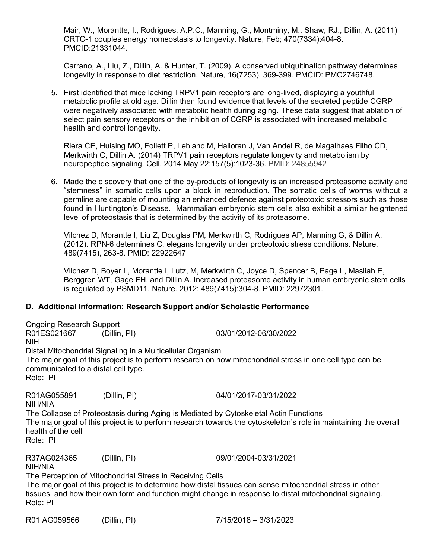Mair, W., Morantte, I., Rodrigues, A.P.C., Manning, G., Montminy, M., Shaw, RJ., Dillin, A. (2011) CRTC-1 couples energy homeostasis to longevity. Nature, Feb; 470(7334):404-8. PMCID:21331044.

Carrano, A., Liu, Z., Dillin, A. & Hunter, T. (2009). A conserved ubiquitination pathway determines longevity in response to diet restriction. Nature, 16(7253), 369-399. PMCID: PMC2746748.

5. First identified that mice lacking TRPV1 pain receptors are long-lived, displaying a youthful metabolic profile at old age. Dillin then found evidence that levels of the secreted peptide CGRP were negatively associated with metabolic health during aging. These data suggest that ablation of select pain sensory receptors or the inhibition of CGRP is associated with increased metabolic health and control longevity.

Riera CE, Huising MO, Follett P, Leblanc M, Halloran J, Van Andel R, de Magalhaes Filho CD, Merkwirth C, Dillin A. (2014) TRPV1 pain receptors regulate longevity and metabolism by neuropeptide signaling. Cell. 2014 May 22;157(5):1023-36. PMID: 24855942

6. Made the discovery that one of the by-products of longevity is an increased proteasome activity and "stemness" in somatic cells upon a block in reproduction. The somatic cells of worms without a germline are capable of mounting an enhanced defence against proteotoxic stressors such as those found in Huntington's Disease. Mammalian embryonic stem cells also exhibit a similar heightened level of proteostasis that is determined by the activity of its proteasome.

Vilchez D, Morantte I, Liu Z, Douglas PM, Merkwirth C, Rodrigues AP, Manning G, & Dillin A. (2012). RPN-6 determines C. elegans longevity under proteotoxic stress conditions. Nature, 489(7415), 263-8. PMID: 22922647

Vilchez D, Boyer L, Morantte I, Lutz, M, Merkwirth C, Joyce D, Spencer B, Page L, Masliah E, Berggren WT, Gage FH, and Dillin A. Increased proteasome activity in human embryonic stem cells is regulated by PSMD11. Nature. 2012: 489(7415):304-8. PMID: 22972301.

# **D. Additional Information: Research Support and/or Scholastic Performance**

Ongoing Research Support R01ES021667 (Dillin, PI) 03/01/2012-06/30/2022 NIH Distal Mitochondrial Signaling in a Multicellular Organism The major goal of this project is to perform research on how mitochondrial stress in one cell type can be communicated to a distal cell type. Role: PI

R01AG055891 (Dillin, PI) 04/01/2017-03/31/2022 NIH/NIA The Collapse of Proteostasis during Aging is Mediated by Cytoskeletal Actin Functions The major goal of this project is to perform research towards the cytoskeleton's role in maintaining the overall health of the cell Role: PI

R37AG024365 (Dillin, PI) 09/01/2004-03/31/2021

NIH/NIA

The Perception of Mitochondrial Stress in Receiving Cells The major goal of this project is to determine how distal tissues can sense mitochondrial stress in other tissues, and how their own form and function might change in response to distal mitochondrial signaling. Role: PI

R01 AG059566 (Dillin, PI) 7/15/2018 – 3/31/2023